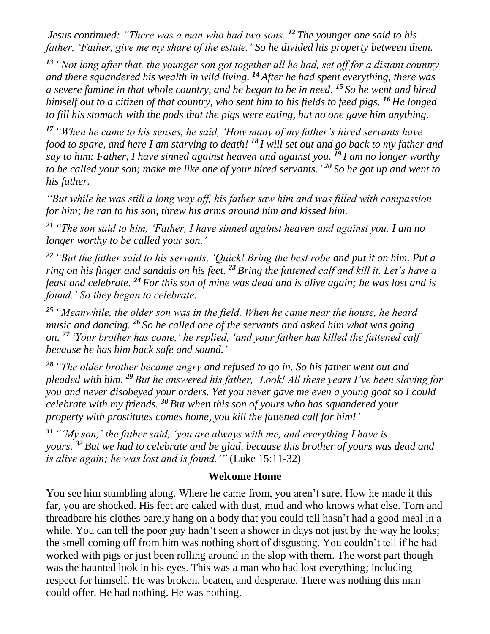*Jesus continued: "There was a man who had two sons. <sup>12</sup> The younger one said to his father, 'Father, give me my share of the estate.' So he divided his property between them.*

*<sup>13</sup> "Not long after that, the younger son got together all he had, set off for a distant country and there squandered his wealth in wild living. <sup>14</sup> After he had spent everything, there was a severe famine in that whole country, and he began to be in need. <sup>15</sup> So he went and hired himself out to a citizen of that country, who sent him to his fields to feed pigs. <sup>16</sup> He longed to fill his stomach with the pods that the pigs were eating, but no one gave him anything.*

*<sup>17</sup> "When he came to his senses, he said, 'How many of my father's hired servants have food to spare, and here I am starving to death! <sup>18</sup> I will set out and go back to my father and say to him: Father, I have sinned against heaven and against you. <sup>19</sup> I am no longer worthy to be called your son; make me like one of your hired servants.' <sup>20</sup> So he got up and went to his father.*

*"But while he was still a long way off, his father saw him and was filled with compassion for him; he ran to his son, threw his arms around him and kissed him.*

*<sup>21</sup> "The son said to him, 'Father, I have sinned against heaven and against you. I am no longer worthy to be called your son.'*

*<sup>22</sup> "But the father said to his servants, 'Quick! Bring the best robe and put it on him. Put a ring on his finger and sandals on his feet. <sup>23</sup> Bring the fattened calf and kill it. Let's have a feast and celebrate. <sup>24</sup> For this son of mine was dead and is alive again; he was lost and is found.' So they began to celebrate.*

*<sup>25</sup> "Meanwhile, the older son was in the field. When he came near the house, he heard music and dancing. <sup>26</sup> So he called one of the servants and asked him what was going on. <sup>27</sup> 'Your brother has come,' he replied, 'and your father has killed the fattened calf because he has him back safe and sound.'*

*<sup>28</sup> "The older brother became angry and refused to go in. So his father went out and pleaded with him. <sup>29</sup> But he answered his father, 'Look! All these years I've been slaving for you and never disobeyed your orders. Yet you never gave me even a young goat so I could celebrate with my friends. <sup>30</sup> But when this son of yours who has squandered your property with prostitutes comes home, you kill the fattened calf for him!'*

*<sup>31</sup> "'My son,' the father said, 'you are always with me, and everything I have is yours. <sup>32</sup> But we had to celebrate and be glad, because this brother of yours was dead and is alive again; he was lost and is found.'"* (Luke 15:11-32)

## **Welcome Home**

You see him stumbling along. Where he came from, you aren't sure. How he made it this far, you are shocked. His feet are caked with dust, mud and who knows what else. Torn and threadbare his clothes barely hang on a body that you could tell hasn't had a good meal in a while. You can tell the poor guy hadn't seen a shower in days not just by the way he looks; the smell coming off from him was nothing short of disgusting. You couldn't tell if he had worked with pigs or just been rolling around in the slop with them. The worst part though was the haunted look in his eyes. This was a man who had lost everything; including respect for himself. He was broken, beaten, and desperate. There was nothing this man could offer. He had nothing. He was nothing.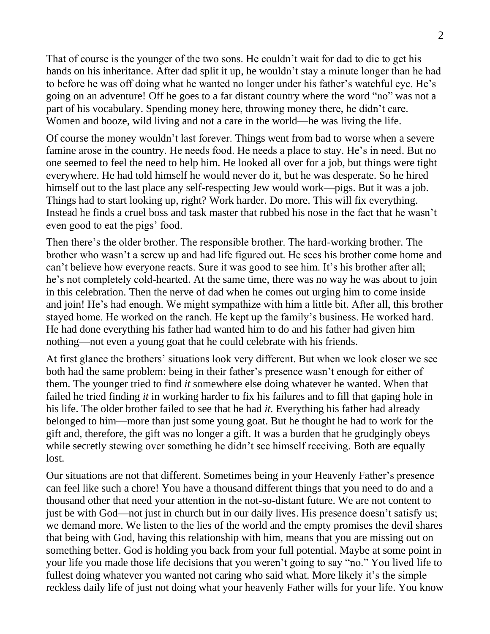That of course is the younger of the two sons. He couldn't wait for dad to die to get his hands on his inheritance. After dad split it up, he wouldn't stay a minute longer than he had to before he was off doing what he wanted no longer under his father's watchful eye. He's going on an adventure! Off he goes to a far distant country where the word "no" was not a part of his vocabulary. Spending money here, throwing money there, he didn't care. Women and booze, wild living and not a care in the world—he was living the life.

Of course the money wouldn't last forever. Things went from bad to worse when a severe famine arose in the country. He needs food. He needs a place to stay. He's in need. But no one seemed to feel the need to help him. He looked all over for a job, but things were tight everywhere. He had told himself he would never do it, but he was desperate. So he hired himself out to the last place any self-respecting Jew would work—pigs. But it was a job. Things had to start looking up, right? Work harder. Do more. This will fix everything. Instead he finds a cruel boss and task master that rubbed his nose in the fact that he wasn't even good to eat the pigs' food.

Then there's the older brother. The responsible brother. The hard-working brother. The brother who wasn't a screw up and had life figured out. He sees his brother come home and can't believe how everyone reacts. Sure it was good to see him. It's his brother after all; he's not completely cold-hearted. At the same time, there was no way he was about to join in this celebration. Then the nerve of dad when he comes out urging him to come inside and join! He's had enough. We might sympathize with him a little bit. After all, this brother stayed home. He worked on the ranch. He kept up the family's business. He worked hard. He had done everything his father had wanted him to do and his father had given him nothing—not even a young goat that he could celebrate with his friends.

At first glance the brothers' situations look very different. But when we look closer we see both had the same problem: being in their father's presence wasn't enough for either of them. The younger tried to find *it* somewhere else doing whatever he wanted. When that failed he tried finding *it* in working harder to fix his failures and to fill that gaping hole in his life. The older brother failed to see that he had *it.* Everything his father had already belonged to him—more than just some young goat. But he thought he had to work for the gift and, therefore, the gift was no longer a gift. It was a burden that he grudgingly obeys while secretly stewing over something he didn't see himself receiving. Both are equally lost.

Our situations are not that different. Sometimes being in your Heavenly Father's presence can feel like such a chore! You have a thousand different things that you need to do and a thousand other that need your attention in the not-so-distant future. We are not content to just be with God—not just in church but in our daily lives. His presence doesn't satisfy us; we demand more. We listen to the lies of the world and the empty promises the devil shares that being with God, having this relationship with him, means that you are missing out on something better. God is holding you back from your full potential. Maybe at some point in your life you made those life decisions that you weren't going to say "no." You lived life to fullest doing whatever you wanted not caring who said what. More likely it's the simple reckless daily life of just not doing what your heavenly Father wills for your life. You know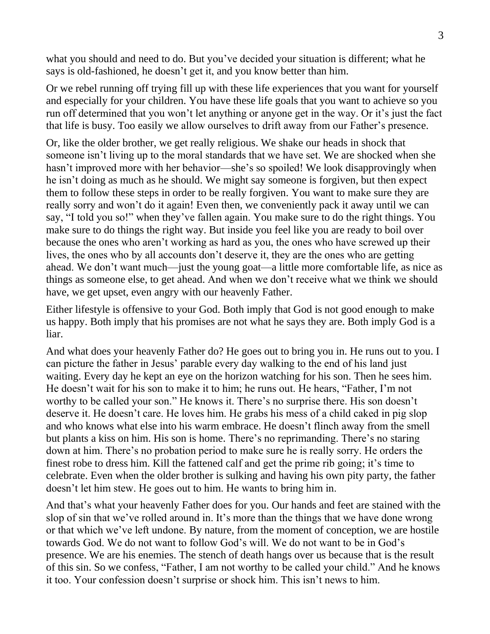what you should and need to do. But you've decided your situation is different; what he says is old-fashioned, he doesn't get it, and you know better than him.

Or we rebel running off trying fill up with these life experiences that you want for yourself and especially for your children. You have these life goals that you want to achieve so you run off determined that you won't let anything or anyone get in the way. Or it's just the fact that life is busy. Too easily we allow ourselves to drift away from our Father's presence.

Or, like the older brother, we get really religious. We shake our heads in shock that someone isn't living up to the moral standards that we have set. We are shocked when she hasn't improved more with her behavior—she's so spoiled! We look disapprovingly when he isn't doing as much as he should. We might say someone is forgiven, but then expect them to follow these steps in order to be really forgiven. You want to make sure they are really sorry and won't do it again! Even then, we conveniently pack it away until we can say, "I told you so!" when they've fallen again. You make sure to do the right things. You make sure to do things the right way. But inside you feel like you are ready to boil over because the ones who aren't working as hard as you, the ones who have screwed up their lives, the ones who by all accounts don't deserve it, they are the ones who are getting ahead. We don't want much—just the young goat—a little more comfortable life, as nice as things as someone else, to get ahead. And when we don't receive what we think we should have, we get upset, even angry with our heavenly Father.

Either lifestyle is offensive to your God. Both imply that God is not good enough to make us happy. Both imply that his promises are not what he says they are. Both imply God is a liar.

And what does your heavenly Father do? He goes out to bring you in. He runs out to you. I can picture the father in Jesus' parable every day walking to the end of his land just waiting. Every day he kept an eye on the horizon watching for his son. Then he sees him. He doesn't wait for his son to make it to him; he runs out. He hears, "Father, I'm not worthy to be called your son." He knows it. There's no surprise there. His son doesn't deserve it. He doesn't care. He loves him. He grabs his mess of a child caked in pig slop and who knows what else into his warm embrace. He doesn't flinch away from the smell but plants a kiss on him. His son is home. There's no reprimanding. There's no staring down at him. There's no probation period to make sure he is really sorry. He orders the finest robe to dress him. Kill the fattened calf and get the prime rib going; it's time to celebrate. Even when the older brother is sulking and having his own pity party, the father doesn't let him stew. He goes out to him. He wants to bring him in.

And that's what your heavenly Father does for you. Our hands and feet are stained with the slop of sin that we've rolled around in. It's more than the things that we have done wrong or that which we've left undone. By nature, from the moment of conception, we are hostile towards God. We do not want to follow God's will. We do not want to be in God's presence. We are his enemies. The stench of death hangs over us because that is the result of this sin. So we confess, "Father, I am not worthy to be called your child." And he knows it too. Your confession doesn't surprise or shock him. This isn't news to him.